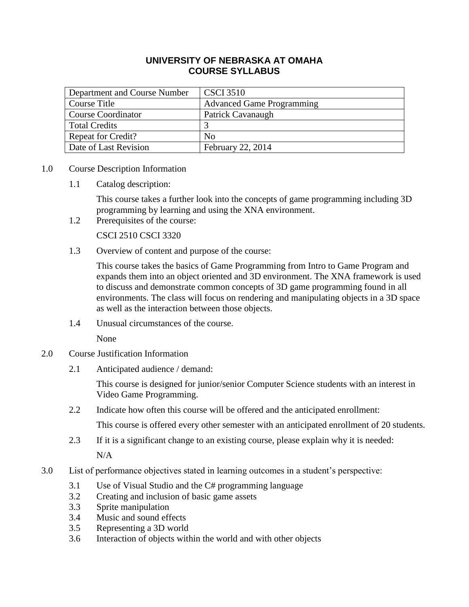# **UNIVERSITY OF NEBRASKA AT OMAHA COURSE SYLLABUS**

| Department and Course Number | <b>CSCI 3510</b>                 |
|------------------------------|----------------------------------|
| Course Title                 | <b>Advanced Game Programming</b> |
| <b>Course Coordinator</b>    | Patrick Cavanaugh                |
| <b>Total Credits</b>         |                                  |
| <b>Repeat for Credit?</b>    | N <sub>0</sub>                   |
| Date of Last Revision        | February 22, 2014                |

- 1.0 Course Description Information
	- 1.1 Catalog description:

This course takes a further look into the concepts of game programming including 3D programming by learning and using the XNA environment.

1.2 Prerequisites of the course:

CSCI 2510 CSCI 3320

1.3 Overview of content and purpose of the course:

This course takes the basics of Game Programming from Intro to Game Program and expands them into an object oriented and 3D environment. The XNA framework is used to discuss and demonstrate common concepts of 3D game programming found in all environments. The class will focus on rendering and manipulating objects in a 3D space as well as the interaction between those objects.

1.4 Unusual circumstances of the course.

None

- 2.0 Course Justification Information
	- 2.1 Anticipated audience / demand:

This course is designed for junior/senior Computer Science students with an interest in Video Game Programming.

2.2 Indicate how often this course will be offered and the anticipated enrollment:

This course is offered every other semester with an anticipated enrollment of 20 students.

2.3 If it is a significant change to an existing course, please explain why it is needed:

N/A

- 3.0 List of performance objectives stated in learning outcomes in a student's perspective:
	- 3.1 Use of Visual Studio and the C# programming language
	- 3.2 Creating and inclusion of basic game assets
	- 3.3 Sprite manipulation
	- 3.4 Music and sound effects
	- 3.5 Representing a 3D world
	- 3.6 Interaction of objects within the world and with other objects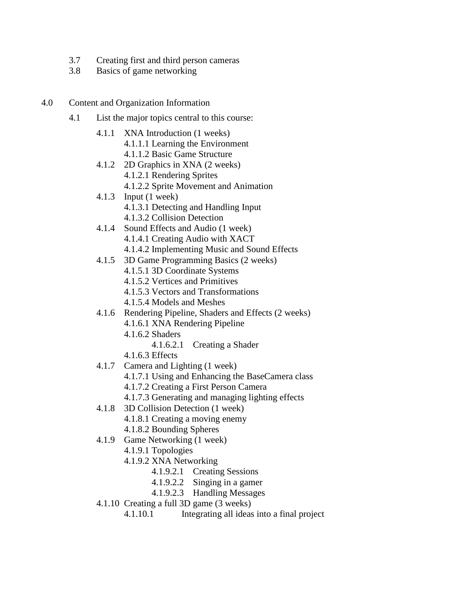- 3.7 Creating first and third person cameras
- 3.8 Basics of game networking
- 4.0 Content and Organization Information
	- 4.1 List the major topics central to this course:
		- 4.1.1 XNA Introduction (1 weeks) 4.1.1.1 Learning the Environment 4.1.1.2 Basic Game Structure
		- 4.1.2 2D Graphics in XNA (2 weeks)
			- 4.1.2.1 Rendering Sprites
			- 4.1.2.2 Sprite Movement and Animation
		- 4.1.3 Input (1 week)
			- 4.1.3.1 Detecting and Handling Input
			- 4.1.3.2 Collision Detection
		- 4.1.4 Sound Effects and Audio (1 week)
			- 4.1.4.1 Creating Audio with XACT
			- 4.1.4.2 Implementing Music and Sound Effects
		- 4.1.5 3D Game Programming Basics (2 weeks)
			- 4.1.5.1 3D Coordinate Systems
			- 4.1.5.2 Vertices and Primitives
			- 4.1.5.3 Vectors and Transformations
			- 4.1.5.4 Models and Meshes
		- 4.1.6 Rendering Pipeline, Shaders and Effects (2 weeks) 4.1.6.1 XNA Rendering Pipeline
			- 4.1.6.2 Shaders
				- 4.1.6.2.1 Creating a Shader
			- 4.1.6.3 Effects
		- 4.1.7 Camera and Lighting (1 week)
			- 4.1.7.1 Using and Enhancing the BaseCamera class
			- 4.1.7.2 Creating a First Person Camera
			- 4.1.7.3 Generating and managing lighting effects
		- 4.1.8 3D Collision Detection (1 week)
			- 4.1.8.1 Creating a moving enemy
			- 4.1.8.2 Bounding Spheres
		- 4.1.9 Game Networking (1 week)
			- 4.1.9.1 Topologies
			- 4.1.9.2 XNA Networking
				- 4.1.9.2.1 Creating Sessions
				- 4.1.9.2.2 Singing in a gamer
				- 4.1.9.2.3 Handling Messages
		- 4.1.10 Creating a full 3D game (3 weeks)
			- 4.1.10.1 Integrating all ideas into a final project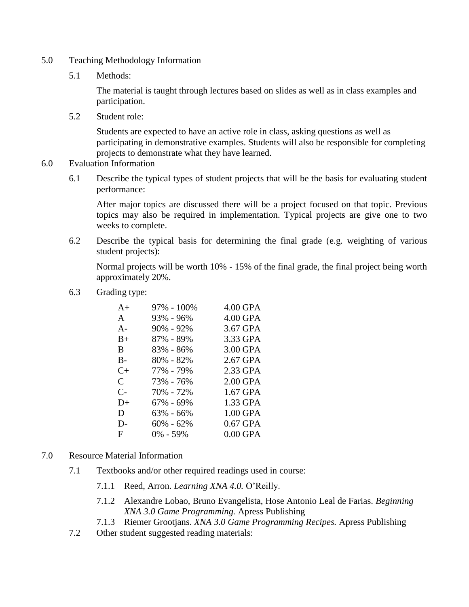- 5.0 Teaching Methodology Information
	- 5.1 Methods:

The material is taught through lectures based on slides as well as in class examples and participation.

5.2 Student role:

Students are expected to have an active role in class, asking questions as well as participating in demonstrative examples. Students will also be responsible for completing projects to demonstrate what they have learned.

- 6.0 Evaluation Information
	- 6.1 Describe the typical types of student projects that will be the basis for evaluating student performance:

After major topics are discussed there will be a project focused on that topic. Previous topics may also be required in implementation. Typical projects are give one to two weeks to complete.

6.2 Describe the typical basis for determining the final grade (e.g. weighting of various student projects):

Normal projects will be worth 10% - 15% of the final grade, the final project being worth approximately 20%.

6.3 Grading type:

| 97% - 100%    | 4.00 GPA   |
|---------------|------------|
| 93% - 96%     | 4.00 GPA   |
| $90\% - 92\%$ | 3.67 GPA   |
| 87% - 89%     | 3.33 GPA   |
| 83% - 86%     | 3.00 GPA   |
| 80% - 82%     | 2.67 GPA   |
| 77% - 79%     | 2.33 GPA   |
| 73% - 76%     | $2.00$ GPA |
| 70% - 72%     | 1.67 GPA   |
| 67% - 69%     | 1.33 GPA   |
| $63\% - 66\%$ | 1.00 GPA   |
| $60\% - 62\%$ | $0.67$ GPA |
| $0\% - 59\%$  | $0.00$ GPA |
|               |            |

- 7.0 Resource Material Information
	- 7.1 Textbooks and/or other required readings used in course:
		- 7.1.1 Reed, Arron. *Learning XNA 4.0.* O'Reilly.
		- 7.1.2 Alexandre Lobao, Bruno Evangelista, Hose Antonio Leal de Farias. *Beginning XNA 3.0 Game Programming.* Apress Publishing
		- 7.1.3 Riemer Grootjans. *XNA 3.0 Game Programming Recipes.* Apress Publishing
	- 7.2 Other student suggested reading materials: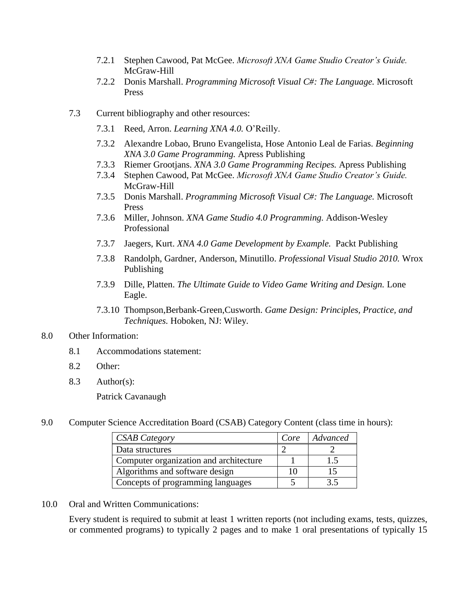- 7.2.1 Stephen Cawood, Pat McGee. *Microsoft XNA Game Studio Creator's Guide.* McGraw-Hill
- 7.2.2 Donis Marshall. *Programming Microsoft Visual C#: The Language.* Microsoft Press
- 7.3 Current bibliography and other resources:
	- 7.3.1 Reed, Arron. *Learning XNA 4.0.* O'Reilly.
	- 7.3.2 Alexandre Lobao, Bruno Evangelista, Hose Antonio Leal de Farias. *Beginning XNA 3.0 Game Programming.* Apress Publishing
	- 7.3.3 Riemer Grootjans. *XNA 3.0 Game Programming Recipes.* Apress Publishing
	- 7.3.4 Stephen Cawood, Pat McGee. *Microsoft XNA Game Studio Creator's Guide.* McGraw-Hill
	- 7.3.5 Donis Marshall. *Programming Microsoft Visual C#: The Language.* Microsoft Press
	- 7.3.6 Miller, Johnson. *XNA Game Studio 4.0 Programming.* Addison-Wesley Professional
	- 7.3.7 Jaegers, Kurt. *XNA 4.0 Game Development by Example.* Packt Publishing
	- 7.3.8 Randolph, Gardner, Anderson, Minutillo. *Professional Visual Studio 2010.* Wrox Publishing
	- 7.3.9 Dille, Platten. *The Ultimate Guide to Video Game Writing and Design.* Lone Eagle.
	- 7.3.10 Thompson,Berbank-Green,Cusworth. *Game Design: Principles, Practice, and Techniques.* Hoboken, NJ: Wiley.

#### 8.0 Other Information:

- 8.1 Accommodations statement:
- 8.2 Other:
- 8.3 Author(s):

Patrick Cavanaugh

9.0 Computer Science Accreditation Board (CSAB) Category Content (class time in hours):

| <b>CSAB</b> Category                   | Core | Advanced |
|----------------------------------------|------|----------|
| Data structures                        |      |          |
| Computer organization and architecture |      |          |
| Algorithms and software design         |      |          |
| Concepts of programming languages      |      |          |

10.0 Oral and Written Communications:

Every student is required to submit at least 1 written reports (not including exams, tests, quizzes, or commented programs) to typically 2 pages and to make 1 oral presentations of typically 15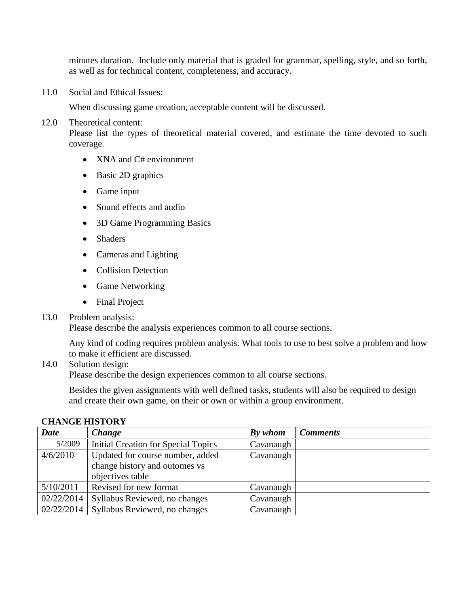minutes duration. Include only material that is graded for grammar, spelling, style, and so forth, as well as for technical content, completeness, and accuracy.

11.0 Social and Ethical Issues:

When discussing game creation, acceptable content will be discussed.

# 12.0 Theoretical content:

Please list the types of theoretical material covered, and estimate the time devoted to such coverage.

- XNA and C# environment
- Basic 2D graphics
- Game input
- Sound effects and audio
- 3D Game Programming Basics
- Shaders
- Cameras and Lighting
- Collision Detection
- Game Networking
- Final Project

# 13.0 Problem analysis:

Please describe the analysis experiences common to all course sections.

Any kind of coding requires problem analysis. What tools to use to best solve a problem and how to make it efficient are discussed.

# 14.0 Solution design:

Please describe the design experiences common to all course sections.

Besides the given assignments with well defined tasks, students will also be required to design and create their own game, on their or own or within a group environment.

| <b>Date</b> | Change                                     | By whom   | <b>Comments</b> |
|-------------|--------------------------------------------|-----------|-----------------|
| 5/2009      | <b>Initial Creation for Special Topics</b> | Cavanaugh |                 |
| 4/6/2010    | Updated for course number, added           | Cavanaugh |                 |
|             | change history and outomes vs              |           |                 |
|             | objectives table                           |           |                 |
| 5/10/2011   | Revised for new format                     | Cavanaugh |                 |
| 02/22/2014  | Syllabus Reviewed, no changes              | Cavanaugh |                 |
| 02/22/2014  | Syllabus Reviewed, no changes              | Cavanaugh |                 |